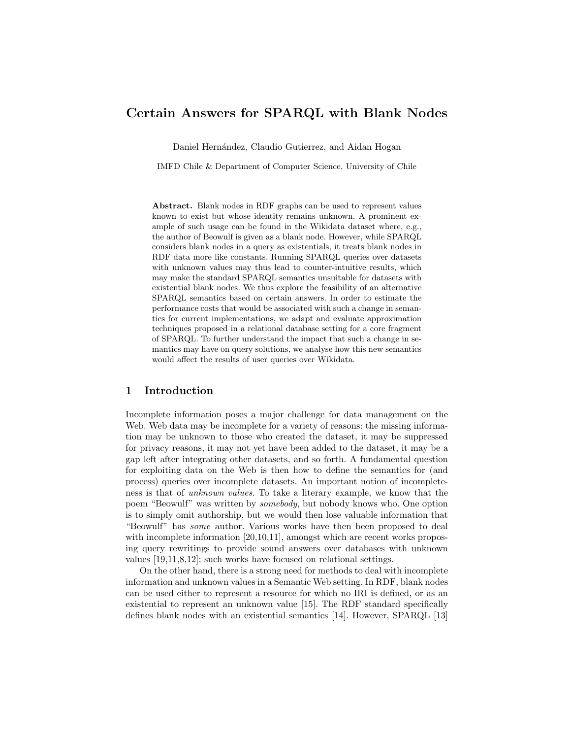# Certain Answers for SPARQL with Blank Nodes

Daniel Hernández, Claudio Gutierrez, and Aidan Hogan

IMFD Chile & Department of Computer Science, University of Chile

Abstract. Blank nodes in RDF graphs can be used to represent values known to exist but whose identity remains unknown. A prominent example of such usage can be found in the Wikidata dataset where, e.g., the author of Beowulf is given as a blank node. However, while SPARQL considers blank nodes in a query as existentials, it treats blank nodes in RDF data more like constants. Running SPARQL queries over datasets with unknown values may thus lead to counter-intuitive results, which may make the standard SPARQL semantics unsuitable for datasets with existential blank nodes. We thus explore the feasibility of an alternative SPARQL semantics based on certain answers. In order to estimate the performance costs that would be associated with such a change in semantics for current implementations, we adapt and evaluate approximation techniques proposed in a relational database setting for a core fragment of SPARQL. To further understand the impact that such a change in semantics may have on query solutions, we analyse how this new semantics would affect the results of user queries over Wikidata.

## 1 Introduction

Incomplete information poses a major challenge for data management on the Web. Web data may be incomplete for a variety of reasons: the missing information may be unknown to those who created the dataset, it may be suppressed for privacy reasons, it may not yet have been added to the dataset, it may be a gap left after integrating other datasets, and so forth. A fundamental question for exploiting data on the Web is then how to define the semantics for (and process) queries over incomplete datasets. An important notion of incompleteness is that of unknown values. To take a literary example, we know that the poem "Beowulf" was written by somebody, but nobody knows who. One option is to simply omit authorship, but we would then lose valuable information that "Beowulf" has some author. Various works have then been proposed to deal with incomplete information [\[20](#page-15-0)[,10,](#page-15-1)[11\]](#page-15-2), amongst which are recent works proposing query rewritings to provide sound answers over databases with unknown values [\[19](#page-15-3)[,11,](#page-15-2)[8,](#page-15-4)[12\]](#page-15-5); such works have focused on relational settings.

On the other hand, there is a strong need for methods to deal with incomplete information and unknown values in a Semantic Web setting. In RDF, blank nodes can be used either to represent a resource for which no IRI is defined, or as an existential to represent an unknown value [\[15\]](#page-15-6). The RDF standard specifically defines blank nodes with an existential semantics [\[14\]](#page-15-7). However, SPARQL [\[13\]](#page-15-8)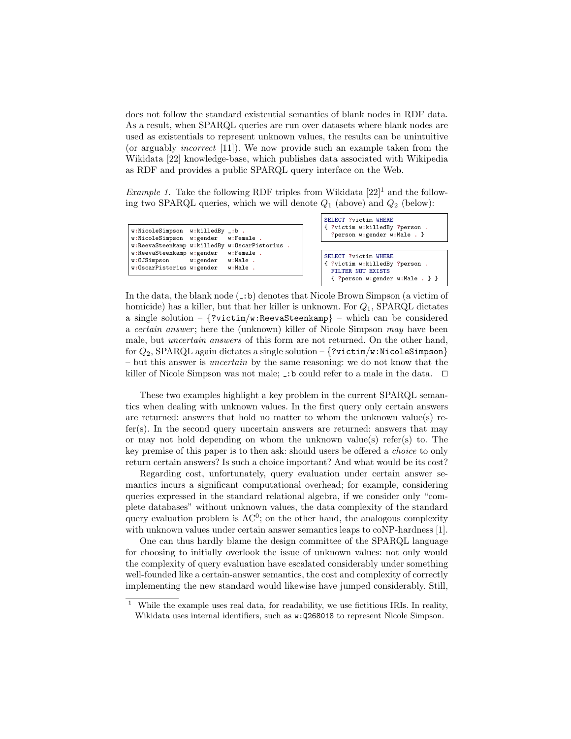does not follow the standard existential semantics of blank nodes in RDF data. As a result, when SPARQL queries are run over datasets where blank nodes are used as existentials to represent unknown values, the results can be unintuitive (or arguably incorrect [\[11\]](#page-15-2)). We now provide such an example taken from the Wikidata [\[22\]](#page-15-9) knowledge-base, which publishes data associated with Wikipedia as RDF and provides a public SPARQL query interface on the Web.

<span id="page-1-1"></span>*Example [1](#page-1-0)*. Take the following RDF triples from Wikidata  $[22]$ <sup>1</sup> and the following two SPARQL queries, which we will denote  $Q_1$  (above) and  $Q_2$  (below):

```
w:NicoleSimpson w:killedBy _:b .
w:NicoleSimpson w:gender w:Female .
w:ReevaSteenkamp w:killedBy w:OscarPistorius<br>w:ReevaSteenkamp w:gender     w:Female  .
w:ReevaSteenkamp w:gender   w:Fema<br>w:OJSimpson       w:gender     w:Male
                         w:gender w:Male<br>w:gender w:Male
w:OscarPistorius w:gender
```

| <b>SELECT ?victim WHERE</b><br>{ ?victim w:killedBy ?person.<br>?person w:gender w:Male . }                       |
|-------------------------------------------------------------------------------------------------------------------|
| SELECT ?victim WHERE<br>{ ?victim w:killedBy ?person.<br>FILTER NOT EXISTS<br>${$ ?person w:gender w:Male . $}$ } |

In the data, the blank node  $(-:b)$  denotes that Nicole Brown Simpson (a victim of homicide) has a killer, but that her killer is unknown. For  $Q_1$ , SPARQL dictates a single solution –  $\{?victim/w:ReevaSteenkamp\}$  – which can be considered a *certain answer*; here the (unknown) killer of Nicole Simpson may have been male, but uncertain answers of this form are not returned. On the other hand, for  $Q_2$ , SPARQL again dictates a single solution – {?victim/w:NicoleSimpson} – but this answer is uncertain by the same reasoning: we do not know that the killer of Nicole Simpson was not male;  $\Box$ : b could refer to a male in the data.  $\Box$ 

These two examples highlight a key problem in the current SPARQL semantics when dealing with unknown values. In the first query only certain answers are returned: answers that hold no matter to whom the unknown value(s) refer(s). In the second query uncertain answers are returned: answers that may or may not hold depending on whom the unknown value(s) refer(s) to. The key premise of this paper is to then ask: should users be offered a choice to only return certain answers? Is such a choice important? And what would be its cost?

Regarding cost, unfortunately, query evaluation under certain answer semantics incurs a significant computational overhead; for example, considering queries expressed in the standard relational algebra, if we consider only "complete databases" without unknown values, the data complexity of the standard query evaluation problem is  $AC^0$ ; on the other hand, the analogous complexity with unknown values under certain answer semantics leaps to coNP-hardness [\[1\]](#page-15-10).

One can thus hardly blame the design committee of the SPARQL language for choosing to initially overlook the issue of unknown values: not only would the complexity of query evaluation have escalated considerably under something well-founded like a certain-answer semantics, the cost and complexity of correctly implementing the new standard would likewise have jumped considerably. Still,

<span id="page-1-0"></span><sup>1</sup> While the example uses real data, for readability, we use fictitious IRIs. In reality, Wikidata uses internal identifiers, such as w:Q268018 to represent Nicole Simpson.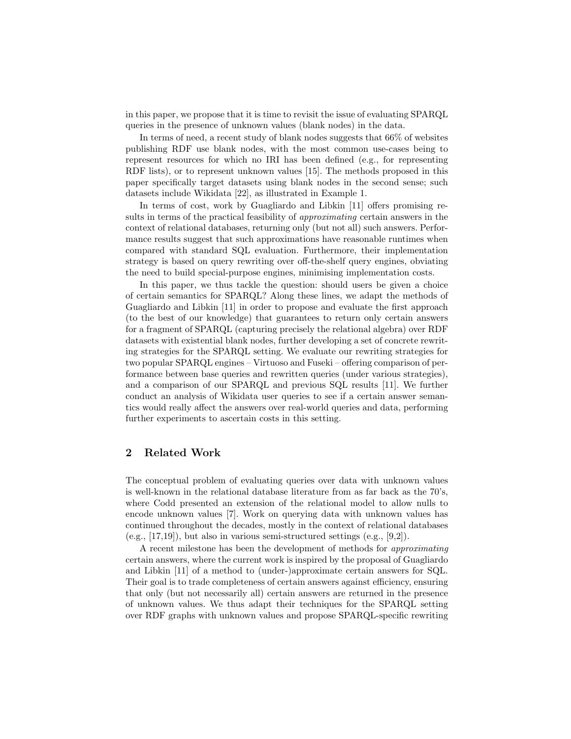in this paper, we propose that it is time to revisit the issue of evaluating SPARQL queries in the presence of unknown values (blank nodes) in the data.

In terms of need, a recent study of blank nodes suggests that 66% of websites publishing RDF use blank nodes, with the most common use-cases being to represent resources for which no IRI has been defined (e.g., for representing RDF lists), or to represent unknown values [\[15\]](#page-15-6). The methods proposed in this paper specifically target datasets using blank nodes in the second sense; such datasets include Wikidata [\[22\]](#page-15-9), as illustrated in Example [1.](#page-1-1)

In terms of cost, work by Guagliardo and Libkin [\[11\]](#page-15-2) offers promising results in terms of the practical feasibility of approximating certain answers in the context of relational databases, returning only (but not all) such answers. Performance results suggest that such approximations have reasonable runtimes when compared with standard SQL evaluation. Furthermore, their implementation strategy is based on query rewriting over off-the-shelf query engines, obviating the need to build special-purpose engines, minimising implementation costs.

In this paper, we thus tackle the question: should users be given a choice of certain semantics for SPARQL? Along these lines, we adapt the methods of Guagliardo and Libkin [\[11\]](#page-15-2) in order to propose and evaluate the first approach (to the best of our knowledge) that guarantees to return only certain answers for a fragment of SPARQL (capturing precisely the relational algebra) over RDF datasets with existential blank nodes, further developing a set of concrete rewriting strategies for the SPARQL setting. We evaluate our rewriting strategies for two popular SPARQL engines – Virtuoso and Fuseki – offering comparison of performance between base queries and rewritten queries (under various strategies), and a comparison of our SPARQL and previous SQL results [\[11\]](#page-15-2). We further conduct an analysis of Wikidata user queries to see if a certain answer semantics would really affect the answers over real-world queries and data, performing further experiments to ascertain costs in this setting.

# 2 Related Work

The conceptual problem of evaluating queries over data with unknown values is well-known in the relational database literature from as far back as the 70's, where Codd presented an extension of the relational model to allow nulls to encode unknown values [\[7\]](#page-15-11). Work on querying data with unknown values has continued throughout the decades, mostly in the context of relational databases  $(e.g., [17,19])$  $(e.g., [17,19])$  $(e.g., [17,19])$  $(e.g., [17,19])$ , but also in various semi-structured settings  $(e.g., [9,2])$  $(e.g., [9,2])$  $(e.g., [9,2])$  $(e.g., [9,2])$ .

A recent milestone has been the development of methods for approximating certain answers, where the current work is inspired by the proposal of Guagliardo and Libkin [\[11\]](#page-15-2) of a method to (under-)approximate certain answers for SQL. Their goal is to trade completeness of certain answers against efficiency, ensuring that only (but not necessarily all) certain answers are returned in the presence of unknown values. We thus adapt their techniques for the SPARQL setting over RDF graphs with unknown values and propose SPARQL-specific rewriting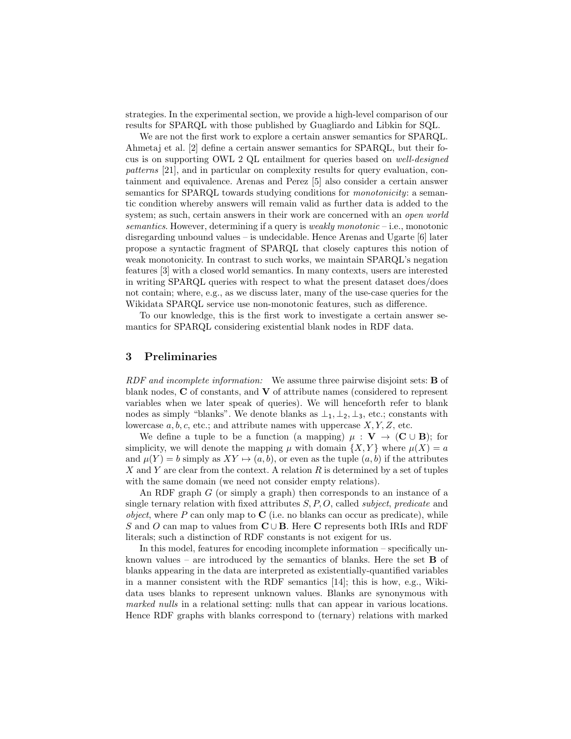strategies. In the experimental section, we provide a high-level comparison of our results for SPARQL with those published by Guagliardo and Libkin for SQL.

We are not the first work to explore a certain answer semantics for SPARQL. Ahmetaj et al. [\[2\]](#page-15-14) define a certain answer semantics for SPARQL, but their focus is on supporting OWL 2 QL entailment for queries based on well-designed patterns [\[21\]](#page-15-15), and in particular on complexity results for query evaluation, containment and equivalence. Arenas and Perez [\[5\]](#page-15-16) also consider a certain answer semantics for SPARQL towards studying conditions for *monotonicity*: a semantic condition whereby answers will remain valid as further data is added to the system; as such, certain answers in their work are concerned with an *open world* semantics. However, determining if a query is *weakly monotonic* – i.e., monotonic disregarding unbound values – is undecidable. Hence Arenas and Ugarte [\[6\]](#page-15-17) later propose a syntactic fragment of SPARQL that closely captures this notion of weak monotonicity. In contrast to such works, we maintain SPARQL's negation features [\[3\]](#page-15-18) with a closed world semantics. In many contexts, users are interested in writing SPARQL queries with respect to what the present dataset does/does not contain; where, e.g., as we discuss later, many of the use-case queries for the Wikidata SPARQL service use non-monotonic features, such as difference.

To our knowledge, this is the first work to investigate a certain answer semantics for SPARQL considering existential blank nodes in RDF data.

## 3 Preliminaries

RDF and incomplete information: We assume three pairwise disjoint sets: **B** of blank nodes, C of constants, and V of attribute names (considered to represent variables when we later speak of queries). We will henceforth refer to blank nodes as simply "blanks". We denote blanks as  $\perp_1$ ,  $\perp_2$ ,  $\perp_3$ , etc.; constants with lowercase  $a, b, c$ , etc.; and attribute names with uppercase  $X, Y, Z$ , etc.

We define a tuple to be a function (a mapping)  $\mu : V \to (C \cup B)$ ; for simplicity, we will denote the mapping  $\mu$  with domain  $\{X, Y\}$  where  $\mu(X) = a$ and  $\mu(Y) = b$  simply as  $XY \mapsto (a, b)$ , or even as the tuple  $(a, b)$  if the attributes X and Y are clear from the context. A relation  $R$  is determined by a set of tuples with the same domain (we need not consider empty relations).

An RDF graph G (or simply a graph) then corresponds to an instance of a single ternary relation with fixed attributes  $S, P, O$ , called *subject*, *predicate* and *object*, where P can only map to C (i.e. no blanks can occur as predicate), while  $S$  and  $O$  can map to values from  $\mathbf{C} \cup \mathbf{B}$  . Here  $\mathbf{C}$  represents both IRIs and RDF literals; such a distinction of RDF constants is not exigent for us.

In this model, features for encoding incomplete information – specifically unknown values – are introduced by the semantics of blanks. Here the set  $\bf{B}$  of blanks appearing in the data are interpreted as existentially-quantified variables in a manner consistent with the RDF semantics [\[14\]](#page-15-7); this is how, e.g., Wikidata uses blanks to represent unknown values. Blanks are synonymous with marked nulls in a relational setting: nulls that can appear in various locations. Hence RDF graphs with blanks correspond to (ternary) relations with marked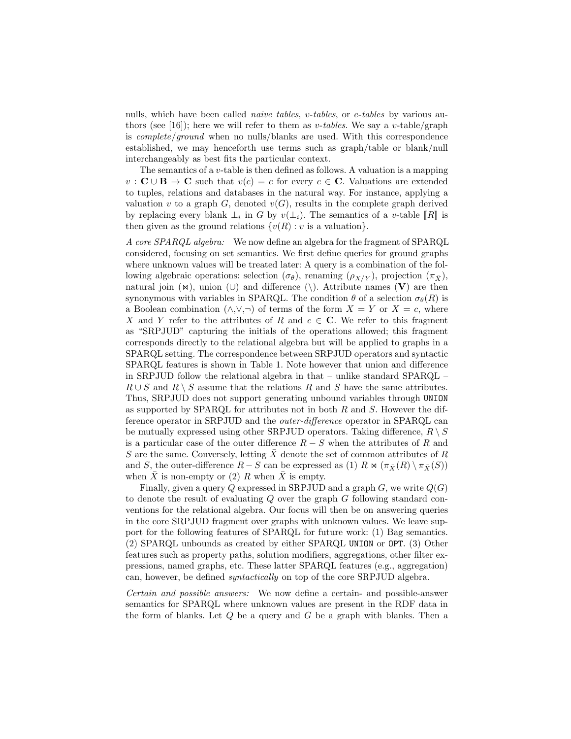nulls, which have been called *naive tables*, *v*-tables, or *e*-tables by various au-thors (see [\[16\]](#page-15-19)); here we will refer to them as v-tables. We say a v-table/graph is complete/ground when no nulls/blanks are used. With this correspondence established, we may henceforth use terms such as graph/table or blank/null interchangeably as best fits the particular context.

The semantics of a  $v$ -table is then defined as follows. A valuation is a mapping  $v : \mathbf{C} \cup \mathbf{B} \to \mathbf{C}$  such that  $v(c) = c$  for every  $c \in \mathbf{C}$ . Valuations are extended to tuples, relations and databases in the natural way. For instance, applying a valuation v to a graph  $G$ , denoted  $v(G)$ , results in the complete graph derived by replacing every blank  $\perp_i$  in G by  $v(\perp_i)$ . The semantics of a v-table  $[[R]]$  is<br>then given as the ground relations  $\{v(P) : v$  is a valuation then given as the ground relations  $\{v(R): v \text{ is a valuation}\}.$ 

A core SPARQL algebra: We now define an algebra for the fragment of SPARQL considered, focusing on set semantics. We first define queries for ground graphs where unknown values will be treated later: A query is a combination of the following algebraic operations: selection  $(\sigma_{\theta})$ , renaming  $(\rho_{X/Y})$ , projection  $(\pi_{\bar{X}})$ , natural join  $(\infty)$ , union  $(\cup)$  and difference  $(\setminus)$ . Attribute names  $(V)$  are then synonymous with variables in SPARQL. The condition  $\theta$  of a selection  $\sigma_{\theta}(R)$  is a Boolean combination  $(\wedge, \vee, \neg)$  of terms of the form  $X = Y$  or  $X = c$ , where X and Y refer to the attributes of R and  $c \in \mathbb{C}$ . We refer to this fragment as "SRPJUD" capturing the initials of the operations allowed; this fragment corresponds directly to the relational algebra but will be applied to graphs in a SPARQL setting. The correspondence between SRPJUD operators and syntactic SPARQL features is shown in Table [1.](#page-5-0) Note however that union and difference in SRPJUD follow the relational algebra in that – unlike standard SPARQL –  $R \cup S$  and  $R \setminus S$  assume that the relations R and S have the same attributes. Thus, SRPJUD does not support generating unbound variables through UNION as supported by SPARQL for attributes not in both  $R$  and  $S$ . However the difference operator in SRPJUD and the outer-difference operator in SPARQL can be mutually expressed using other SRPJUD operators. Taking difference,  $R \setminus S$ is a particular case of the outer difference  $R-S$  when the attributes of R and S are the same. Conversely, letting  $\bar{X}$  denote the set of common attributes of R and S, the outer-difference  $R-S$  can be expressed as (1)  $R \bowtie (\pi_{\bar{X}}(R) \setminus \pi_{\bar{X}}(S))$ when  $\bar{X}$  is non-empty or (2) R when  $\bar{X}$  is empty.

Finally, given a query Q expressed in SRPJUD and a graph  $G$ , we write  $Q(G)$ to denote the result of evaluating Q over the graph G following standard conventions for the relational algebra. Our focus will then be on answering queries in the core SRPJUD fragment over graphs with unknown values. We leave support for the following features of SPARQL for future work: (1) Bag semantics. (2) SPARQL unbounds as created by either SPARQL UNION or OPT. (3) Other features such as property paths, solution modifiers, aggregations, other filter expressions, named graphs, etc. These latter SPARQL features (e.g., aggregation) can, however, be defined syntactically on top of the core SRPJUD algebra.

Certain and possible answers: We now define a certain- and possible-answer semantics for SPARQL where unknown values are present in the RDF data in the form of blanks. Let  $Q$  be a query and  $G$  be a graph with blanks. Then a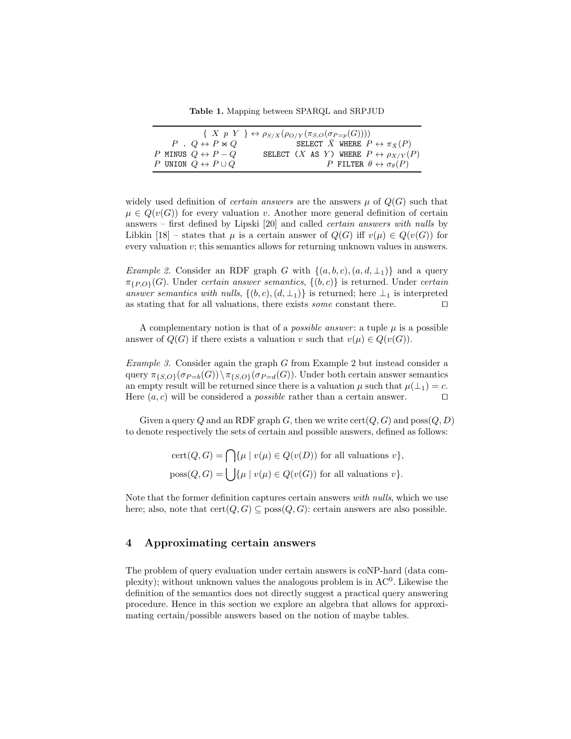<span id="page-5-0"></span>Table 1. Mapping between SPARQL and SRPJUD

| $\{ X p Y \} \leftrightarrow \rho_{S/X}(\rho_{O/Y}(\pi_{S,O}(\sigma_{P=p}(G))))$ |                                                             |  |  |  |  |
|----------------------------------------------------------------------------------|-------------------------------------------------------------|--|--|--|--|
| $P \cdot Q \leftrightarrow P \bowtie Q$                                          | SELECT $\bar{X}$ where $P \leftrightarrow \pi_{\bar{X}}(P)$ |  |  |  |  |
| P MINUS $Q \leftrightarrow P - Q$                                                | SELECT (X AS Y) WHERE $P \leftrightarrow \rho_{X/Y}(P)$     |  |  |  |  |
| P UNION $Q \leftrightarrow P \cup Q$                                             | P FILTER $\theta \leftrightarrow \sigma_{\theta}(P)$        |  |  |  |  |

widely used definition of *certain answers* are the answers  $\mu$  of  $Q(G)$  such that  $\mu \in Q(v(G))$  for every valuation v. Another more general definition of certain answers – first defined by Lipski [\[20\]](#page-15-0) and called certain answers with nulls by Libkin [\[18\]](#page-15-20) – states that  $\mu$  is a certain answer of  $Q(G)$  iff  $v(\mu) \in Q(v(G))$  for every valuation v; this semantics allows for returning unknown values in answers.

<span id="page-5-1"></span>Example 2. Consider an RDF graph G with  $\{(a, b, c), (a, d, \perp) \}$  and a query  $\pi_{\{P, O\}}(G)$ . Under certain answer semantics,  $\{(b, c)\}\$ is returned. Under certain answer semantics with nulls,  $\{(b, c), (d, \perp_1)\}\$ is returned; here  $\perp_1$  is interpreted as stating that for all valuations, there exists *some* constant there.  $\Box$ 

A complementary notion is that of a *possible answer*: a tuple  $\mu$  is a possible answer of  $Q(G)$  if there exists a valuation v such that  $v(\mu) \in Q(v(G))$ .

Example 3. Consider again the graph G from Example [2](#page-5-1) but instead consider a query  $\pi_{\{S,O\}}(\sigma_{P=b}(G))\setminus \pi_{\{S,O\}}(\sigma_{P=d}(G))$ . Under both certain answer semantics an empty result will be returned since there is a valuation  $\mu$  such that  $\mu(\perp_1) = c$ . Here  $(a, c)$  will be considered a *possible* rather than a certain answer.  $\Box$ 

Given a query Q and an RDF graph G, then we write  $cert(Q, G)$  and  $poss(Q, D)$ to denote respectively the sets of certain and possible answers, defined as follows:

> $cert(Q, G) = \bigcap \{\mu \mid v(\mu) \in Q(v(D)) \text{ for all valuations } v\},\$  $poss(Q, G) = \int {\{\mu \mid v(\mu) \in Q(v(G)) \text{ for all valuations } v\}}.$

Note that the former definition captures certain answers with nulls, which we use here; also, note that  $cert(Q, G) \subseteq poss(Q, G)$ : certain answers are also possible.

# 4 Approximating certain answers

The problem of query evaluation under certain answers is coNP-hard (data complexity); without unknown values the analogous problem is in AC<sup>0</sup>. Likewise the definition of the semantics does not directly suggest a practical query answering procedure. Hence in this section we explore an algebra that allows for approximating certain/possible answers based on the notion of maybe tables.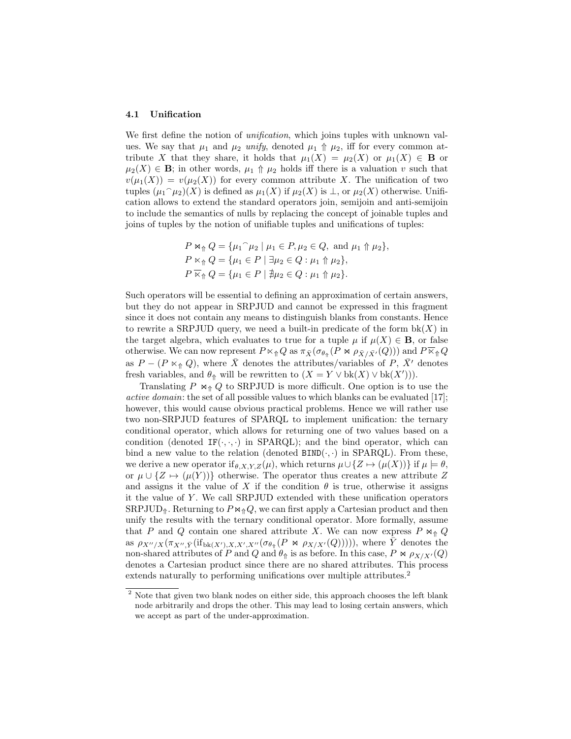#### 4.1 Unification

We first define the notion of *unification*, which joins tuples with unknown values. We say that  $\mu_1$  and  $\mu_2$  unify, denoted  $\mu_1 \Uparrow \mu_2$ , iff for every common attribute X that they share, it holds that  $\mu_1(X) = \mu_2(X)$  or  $\mu_1(X) \in \mathbf{B}$  or  $\mu_2(X) \in \mathbf{B}$ ; in other words,  $\mu_1 \uparrow \mu_2$  holds iff there is a valuation v such that  $v(\mu_1(X)) = v(\mu_2(X))$  for every common attribute X. The unification of two tuples  $(\mu_1 \cap \mu_2)(X)$  is defined as  $\mu_1(X)$  if  $\mu_2(X)$  is  $\perp$ , or  $\mu_2(X)$  otherwise. Unification allows to extend the standard operators join, semijoin and anti-semijoin to include the semantics of nulls by replacing the concept of joinable tuples and joins of tuples by the notion of unifiable tuples and unifications of tuples:

$$
P \bowtie_{\Uparrow} Q = \{ \mu_1 \cap \mu_2 \mid \mu_1 \in P, \mu_2 \in Q, \text{ and } \mu_1 \Uparrow \mu_2 \},
$$
  
\n
$$
P \bowtie_{\Uparrow} Q = \{ \mu_1 \in P \mid \exists \mu_2 \in Q : \mu_1 \Uparrow \mu_2 \},
$$
  
\n
$$
P \overline{\bowtie}_{\Uparrow} Q = \{ \mu_1 \in P \mid \nexists \mu_2 \in Q : \mu_1 \Uparrow \mu_2 \}.
$$

Such operators will be essential to defining an approximation of certain answers, but they do not appear in SRPJUD and cannot be expressed in this fragment since it does not contain any means to distinguish blanks from constants. Hence to rewrite a SRPJUD query, we need a built-in predicate of the form  $bk(X)$  in the target algebra, which evaluates to true for a tuple  $\mu$  if  $\mu(X) \in \mathbf{B}$ , or false otherwise. We can now represent  $P \ltimes_{\Uparrow} Q$  as  $\pi_{\bar{X}}(\sigma_{\theta_{\Uparrow}}(P \rtimes \rho_{\bar{X}/\bar{X}'}(Q)))$  and  $P \overline{\ltimes}_{\Uparrow} Q$ as  $P - (P \ltimes_{\Uparrow} Q)$ , where  $\overline{X}$  denotes the attributes/variables of P,  $\overline{X}$ <sup>1</sup> denotes fresh variables, and  $\theta_{\Uparrow}$  will be rewritten to  $(X = Y \vee bk(X) \vee bk(X'))$ .

Translating P  $\Join$  Q to SRPJUD is more difficult. One option is to use the active domain: the set of all possible values to which blanks can be evaluated [\[17\]](#page-15-12); however, this would cause obvious practical problems. Hence we will rather use two non-SRPJUD features of SPARQL to implement unification: the ternary conditional operator, which allows for returning one of two values based on a condition (denoted  $IF(\cdot, \cdot, \cdot)$  in SPARQL); and the bind operator, which can bind a new value to the relation (denoted  $BIND(\cdot, \cdot)$  in  $SPARQL$ ). From these, we derive a new operator if  $_{\theta,X,Y,Z}(\mu)$ , which returns  $\mu\cup\{Z\mapsto(\mu(X))\}$  if  $\mu\models\theta$ , or  $\mu \cup \{Z \mapsto (\mu(Y))\}$  otherwise. The operator thus creates a new attribute Z and assigns it the value of X if the condition  $\theta$  is true, otherwise it assigns it the value of Y . We call SRPJUD extended with these unification operators  $SRPJUD_{\Uparrow}$ . Returning to  $P \Join_{\Uparrow} Q$ , we can first apply a Cartesian product and then unify the results with the ternary conditional operator. More formally, assume that P and Q contain one shared attribute X. We can now express P  $\bowtie_{\Uparrow} Q$ as  $\rho_{X''/X}(\pi_{X'',\bar{Y}}(if_{\mathrm{bk}(X'),X,X',X''}(\sigma_{\theta_{\hat{\Phi}}}(P \bowtie \rho_{X/X'}(Q))))),$  where  $\bar{Y}$  denotes the non-shared attributes of P and Q and  $\theta_{\hat{\theta}}$  is as before. In this case, P  $\otimes$   $\rho_{X/X'}(Q)$ denotes a Cartesian product since there are no shared attributes. This process extends naturally to performing unifications over multiple attributes.<sup>[2](#page-6-0)</sup>

<span id="page-6-0"></span><sup>&</sup>lt;sup>2</sup> Note that given two blank nodes on either side, this approach chooses the left blank node arbitrarily and drops the other. This may lead to losing certain answers, which we accept as part of the under-approximation.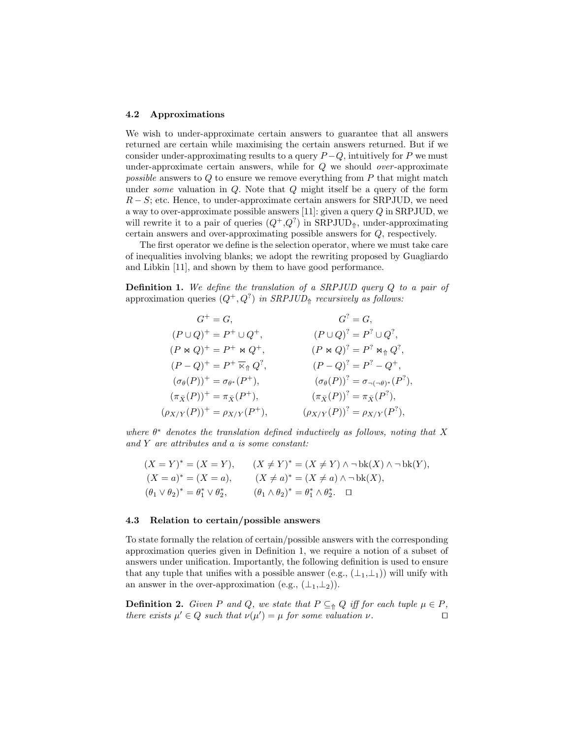#### 4.2 Approximations

We wish to under-approximate certain answers to guarantee that all answers returned are certain while maximising the certain answers returned. But if we consider under-approximating results to a query  $P - Q$ , intuitively for P we must under-approximate certain answers, while for  $Q$  we should *over*-approximate possible answers to  $Q$  to ensure we remove everything from  $P$  that might match under *some* valuation in  $Q$ . Note that  $Q$  might itself be a query of the form  $R-S$ ; etc. Hence, to under-approximate certain answers for SRPJUD, we need a way to over-approximate possible answers [\[11\]](#page-15-2): given a query Q in SRPJUD, we will rewrite it to a pair of queries  $(Q^+, Q^?)$  in  $SRPIUD_{\Uparrow}$ , under-approximating certain answers and over-approximating possible answers for Q, respectively.

The first operator we define is the selection operator, where we must take care of inequalities involving blanks; we adopt the rewriting proposed by Guagliardo and Libkin [\[11\]](#page-15-2), and shown by them to have good performance.

<span id="page-7-0"></span>Definition 1. We define the translation of a SRPJUD query Q to a pair of approximation queries  $(Q^+, Q^?)$  in  $SRPIUD_{\Uparrow}$  recursively as follows:

$$
G^{+} = G, \t G^{2} = G,
$$
  
\n
$$
(P \cup Q)^{+} = P^{+} \cup Q^{+}, \t (P \cup Q)^{2} = P^{2} \cup Q^{2},
$$
  
\n
$$
(P \bowtie Q)^{+} = P^{+} \bowtie Q^{+}, \t (P \bowtie Q)^{2} = P^{2} \bowtie_{\Uparrow} Q^{2},
$$
  
\n
$$
(P - Q)^{+} = P^{+} \bowtie_{\Uparrow} Q^{2}, \t (P - Q)^{2} = P^{2} - Q^{+},
$$
  
\n
$$
(\sigma_{\theta}(P))^{+} = \sigma_{\theta^{*}}(P^{+}), \t (\sigma_{\theta}(P))^{2} = \sigma_{\neg(\neg \theta)^{*}}(P^{2}),
$$
  
\n
$$
(\sigma_{X/Y}(P))^{+} = \rho_{X/Y}(P^{+}), \t (\rho_{X/Y}(P))^{2} = \rho_{X/Y}(P^{2}),
$$

where  $\theta^*$  denotes the translation defined inductively as follows, noting that X and Y are attributes and a is some constant:

$$
(X = Y)^* = (X = Y), \qquad (X \neq Y)^* = (X \neq Y) \land \neg bk(X) \land \neg bk(Y), (X = a)^* = (X = a), \qquad (X \neq a)^* = (X \neq a) \land \neg bk(X), (\theta_1 \lor \theta_2)^* = \theta_1^* \lor \theta_2^*, \qquad (\theta_1 \land \theta_2)^* = \theta_1^* \land \theta_2^*.
$$

### 4.3 Relation to certain/possible answers

To state formally the relation of certain/possible answers with the corresponding approximation queries given in Definition [1,](#page-7-0) we require a notion of a subset of answers under unification. Importantly, the following definition is used to ensure that any tuple that unifies with a possible answer (e.g.,  $(\perp_1, \perp_1)$ ) will unify with an answer in the over-approximation (e.g.,  $(\perp_1, \perp_2)$ ).

**Definition 2.** Given P and Q, we state that  $P \subseteq_{\Uparrow} Q$  iff for each tuple  $\mu \in P$ , there exists  $\mu' \in Q$  such that  $\nu(\mu') = \mu$  for some valuation  $\nu$ .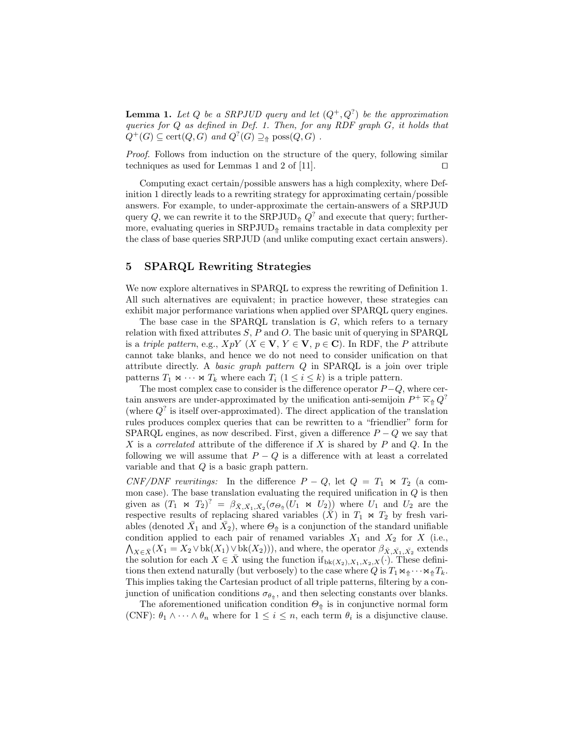**Lemma 1.** Let Q be a SRPJUD query and let  $(Q^+, Q^2)$  be the approximation queries for Q as defined in Def. [1.](#page-7-0) Then, for any RDF graph G, it holds that  $Q^+(G) \subseteq \text{cert}(Q, G) \text{ and } Q^?(G) \supseteq_{\Uparrow} \text{poss}(Q, G)$ .

Proof. Follows from induction on the structure of the query, following similar techniques as used for Lemmas 1 and 2 of [\[11\]](#page-15-2).  $\Box$ 

Computing exact certain/possible answers has a high complexity, where Definition [1](#page-7-0) directly leads to a rewriting strategy for approximating certain/possible answers. For example, to under-approximate the certain-answers of a SRPJUD query Q, we can rewrite it to the SRPJUD<sub>↑</sub>  $Q^?$  and execute that query; furthermore, evaluating queries in  $SRPIUD<sub>î</sub>$  remains tractable in data complexity per the class of base queries SRPJUD (and unlike computing exact certain answers).

# 5 SPARQL Rewriting Strategies

We now explore alternatives in SPARQL to express the rewriting of Definition [1.](#page-7-0) All such alternatives are equivalent; in practice however, these strategies can exhibit major performance variations when applied over SPARQL query engines.

The base case in the SPARQL translation is  $G$ , which refers to a ternary relation with fixed attributes  $S$ ,  $P$  and  $O$ . The basic unit of querying in SPARQL is a triple pattern, e.g.,  $XpY$  ( $X \in V$ ,  $Y \in V$ ,  $p \in C$ ). In RDF, the P attribute cannot take blanks, and hence we do not need to consider unification on that attribute directly. A basic graph pattern  $Q$  in SPARQL is a join over triple patterns  $T_1 \Join \cdots \Join T_k$  where each  $T_i$   $(1 \leq i \leq k)$  is a triple pattern.

The most complex case to consider is the difference operator  $P-Q$ , where certain answers are under-approximated by the unification anti-semijoin  $P^+ \overline{\ltimes}_\Uparrow Q^?$ (where  $Q^?$  is itself over-approximated). The direct application of the translation rules produces complex queries that can be rewritten to a "friendlier" form for SPARQL engines, as now described. First, given a difference  $P - Q$  we say that X is a *correlated* attribute of the difference if X is shared by  $P$  and  $Q$ . In the following we will assume that  $P - Q$  is a difference with at least a correlated variable and that  $Q$  is a basic graph pattern.

CNF/DNF rewritings: In the difference  $P - Q$ , let  $Q = T_1 \bowtie T_2$  (a common case). The base translation evaluating the required unification in  $Q$  is then given as  $(T_1 \Join T_2)^? = \beta_{\bar{X}, \bar{X}_1, \bar{X}_2}(\sigma_{\Theta_{\hat{T}}}(U_1 \Join U_2))$  where  $U_1$  and  $U_2$  are the respective results of replacing shared variables  $(\bar{X})$  in  $T_1 \Join T_2$  by fresh variables (denoted  $\bar{X}_1$  and  $\bar{X}_2$ ), where  $\Theta_{\Uparrow}$  is a conjunction of the standard unifiable condition applied to each pair of renamed variables  $X_1$  and  $X_2$  for X (i.e.,  $\bigwedge_{X \in \bar{X}} (X_1 = X_2 \vee \mathrm{bk}(X_1) \vee \mathrm{bk}(X_2))),$  and where, the operator  $\beta_{\bar{X}, \bar{X}_1, \bar{X}_2}$  extends the solution for each  $X \in \overline{X}$  using the function if  $b_{\text{bk}}(X_2), X_1, X_2, X(\cdot)$ . These definitions then extend naturally (but verbosely) to the case where Q is  $T_1 \Join_{\Uparrow} \cdots \Join_{\Uparrow} T_k$ . This implies taking the Cartesian product of all triple patterns, filtering by a conjunction of unification conditions  $\sigma_{\theta_{\hat{\theta}}}$ , and then selecting constants over blanks.

The aforementioned unification condition  $\Theta_{\Uparrow}$  is in conjunctive normal form (CNF):  $\theta_1 \wedge \cdots \wedge \theta_n$  where for  $1 \leq i \leq n$ , each term  $\theta_i$  is a disjunctive clause.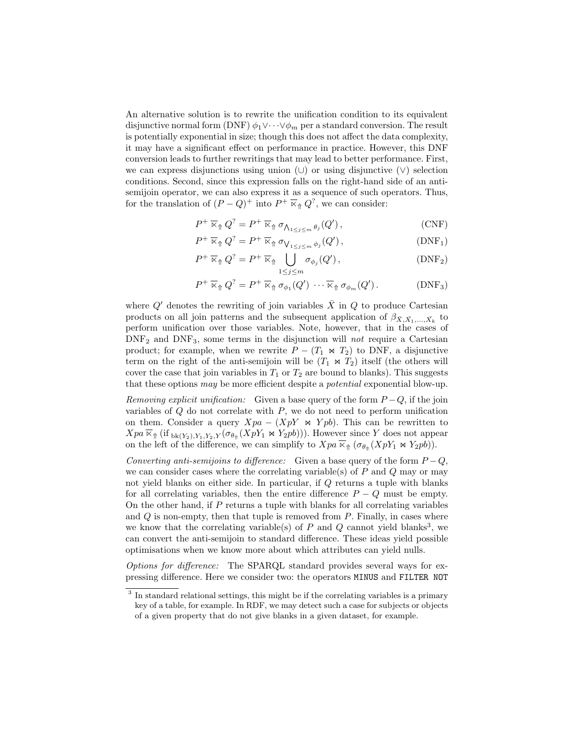An alternative solution is to rewrite the unification condition to its equivalent disjunctive normal form (DNF)  $\phi_1 \vee \cdots \vee \phi_m$  per a standard conversion. The result is potentially exponential in size; though this does not affect the data complexity, it may have a significant effect on performance in practice. However, this DNF conversion leads to further rewritings that may lead to better performance. First, we can express disjunctions using union  $(\cup)$  or using disjunctive  $(\vee)$  selection conditions. Second, since this expression falls on the right-hand side of an antisemijoin operator, we can also express it as a sequence of such operators. Thus, for the translation of  $(P - Q)^+$  into  $P^+ \times_{\mathcal{P}} Q^?$ , we can consider:

$$
P^{+}\overline{\ltimes}_{\Uparrow}Q^{?}=P^{+}\overline{\ltimes}_{\Uparrow}\sigma_{\bigwedge_{1\leq j\leq m}\theta_{j}}(Q'),\tag{CNF}
$$

$$
P^{+} \overline{\ltimes}_{\Uparrow} Q^{?} = P^{+} \overline{\ltimes}_{\Uparrow} \sigma_{\bigvee_{1 \leq j \leq m} \phi_{j}}(Q') , \qquad (DNF_1)
$$

$$
P^{+}\overline{\ltimes}_{\Uparrow}Q^{?}=P^{+}\overline{\ltimes}_{\Uparrow}\bigcup_{1\leq j\leq m}\sigma_{\phi_{j}}(Q'),\qquad\qquad\text{(DNF}_2)
$$

$$
P^+\overline{\ltimes}_{\Uparrow} Q^? = P^+\overline{\ltimes}_{\Uparrow} \sigma_{\phi_1}(Q') \cdots \overline{\ltimes}_{\Uparrow} \sigma_{\phi_m}(Q'). \qquad \qquad (\text{DNF}_3)
$$

where Q' denotes the rewriting of join variables  $\bar{X}$  in Q to produce Cartesian products on all join patterns and the subsequent application of  $\beta_{\bar{X}, \bar{X}_1, \dots, \bar{X}_k}$  to perform unification over those variables. Note, however, that in the cases of  $DNF<sub>2</sub>$  and  $DNF<sub>3</sub>$ , some terms in the disjunction will *not* require a Cartesian product; for example, when we rewrite  $P - (T_1 \Join T_2)$  to DNF, a disjunctive term on the right of the anti-semijoin will be  $(T_1 \Join T_2)$  itself (the others will cover the case that join variables in  $T_1$  or  $T_2$  are bound to blanks). This suggests that these options may be more efficient despite a *potential* exponential blow-up.

Removing explicit unification: Given a base query of the form  $P-Q$ , if the join variables of  $Q$  do not correlate with  $P$ , we do not need to perform unification on them. Consider a query  $Xpa - (XpY \bowtie Ypb)$ . This can be rewritten to  $Xpa \, \overline{\kappa}_{\Uparrow}$  (if  $_{\text{bk}(Y_2),Y_1,Y_2,Y}(\sigma_{\theta_{\Uparrow}}(XpY_1 \bowtie Y_2pb)))$ . However since Y does not appear on the left of the difference, we can simplify to  $Xpa \, \overline{\ltimes}_{\Uparrow} (\sigma_{\theta_{\Uparrow}} (XpY_1 \Join Y_2pb)).$ 

Converting anti-semijoins to difference: Given a base query of the form  $P - Q$ , we can consider cases where the correlating variable(s) of  $P$  and  $Q$  may or may not yield blanks on either side. In particular, if Q returns a tuple with blanks for all correlating variables, then the entire difference  $P - Q$  must be empty. On the other hand, if  $P$  returns a tuple with blanks for all correlating variables and  $Q$  is non-empty, then that tuple is removed from  $P$ . Finally, in cases where we know that the correlating variable(s) of  $P$  and  $Q$  cannot yield blanks<sup>[3](#page-9-0)</sup>, we can convert the anti-semijoin to standard difference. These ideas yield possible optimisations when we know more about which attributes can yield nulls.

Options for difference: The SPARQL standard provides several ways for expressing difference. Here we consider two: the operators MINUS and FILTER NOT

<span id="page-9-0"></span><sup>&</sup>lt;sup>3</sup> In standard relational settings, this might be if the correlating variables is a primary key of a table, for example. In RDF, we may detect such a case for subjects or objects of a given property that do not give blanks in a given dataset, for example.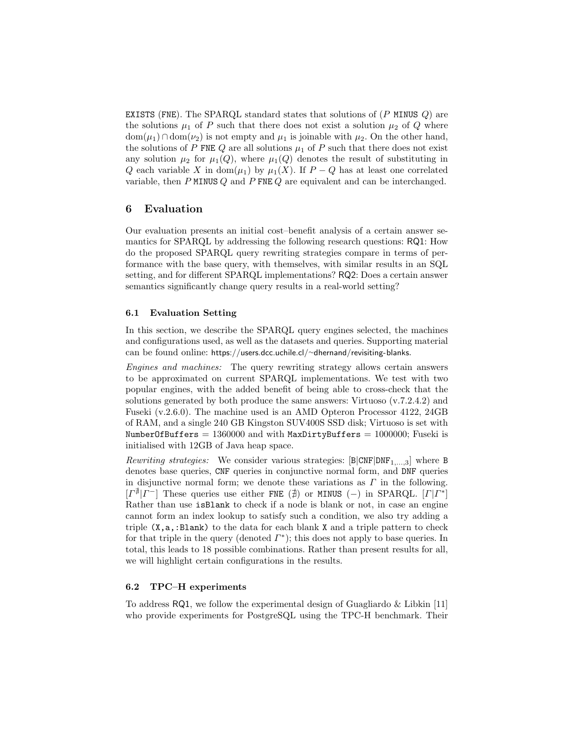EXISTS (FNE). The SPARQL standard states that solutions of  $(P$  MINUS  $Q$ ) are the solutions  $\mu_1$  of P such that there does not exist a solution  $\mu_2$  of Q where  $dom(\mu_1) \cap dom(\nu_2)$  is not empty and  $\mu_1$  is joinable with  $\mu_2$ . On the other hand, the solutions of P FNE  $Q$  are all solutions  $\mu_1$  of P such that there does not exist any solution  $\mu_2$  for  $\mu_1(Q)$ , where  $\mu_1(Q)$  denotes the result of substituting in Q each variable X in dom $(\mu_1)$  by  $\mu_1(X)$ . If  $P-Q$  has at least one correlated variable, then  $P$  MINUS  $Q$  and  $P$  FNE  $Q$  are equivalent and can be interchanged.

# 6 Evaluation

Our evaluation presents an initial cost–benefit analysis of a certain answer semantics for SPARQL by addressing the following research questions: RQ1: How do the proposed SPARQL query rewriting strategies compare in terms of performance with the base query, with themselves, with similar results in an SQL setting, and for different SPARQL implementations? RQ2: Does a certain answer semantics significantly change query results in a real-world setting?

### 6.1 Evaluation Setting

In this section, we describe the SPARQL query engines selected, the machines and configurations used, as well as the datasets and queries. Supporting material can be found online: [https://users.dcc.uchile.cl/](https://users.dcc.uchile.cl/~dhernand/revisiting-blanks)∼dhernand/revisiting-blanks.

Engines and machines: The query rewriting strategy allows certain answers to be approximated on current SPARQL implementations. We test with two popular engines, with the added benefit of being able to cross-check that the solutions generated by both produce the same answers: Virtuoso (v.7.2.4.2) and Fuseki (v.2.6.0). The machine used is an AMD Opteron Processor 4122, 24GB of RAM, and a single 240 GB Kingston SUV400S SSD disk; Virtuoso is set with NumberOfBuffers =  $1360000$  and with MaxDirtyBuffers =  $1000000$ ; Fuseki is initialised with 12GB of Java heap space.

Rewriting strategies: We consider various strategies:  $[B|CNF|DNF_{1,...,3}]$  where B denotes base queries, CNF queries in conjunctive normal form, and DNF queries in disjunctive normal form; we denote these variations as  $\Gamma$  in the following.  $[I^{\nexists} | I^{-}]$  These queries use either FNE ( $\nexists$ ) or MINUS (-) in SPARQL.  $[I^{\nexists}]$ Rather than use isBlank to check if a node is blank or not, in case an engine cannot form an index lookup to satisfy such a condition, we also try adding a triple  $(X, a, : \text{Blank})$  to the data for each blank X and a triple pattern to check for that triple in the query (denoted  $\Gamma^*$ ); this does not apply to base queries. In total, this leads to 18 possible combinations. Rather than present results for all, we will highlight certain configurations in the results.

### 6.2 TPC–H experiments

To address  $RQ1$ , we follow the experimental design of Guagliardo & Libkin [\[11\]](#page-15-2) who provide experiments for PostgreSQL using the TPC-H benchmark. Their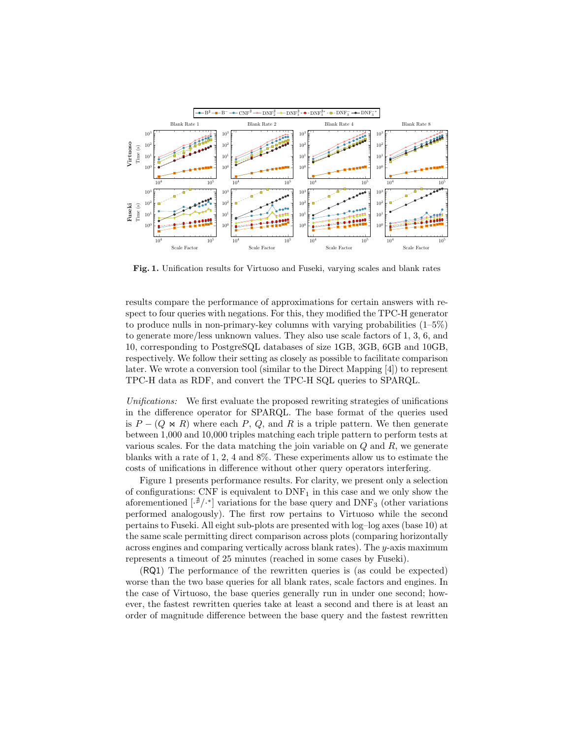

<span id="page-11-0"></span>Fig. 1. Unification results for Virtuoso and Fuseki, varying scales and blank rates

results compare the performance of approximations for certain answers with respect to four queries with negations. For this, they modified the TPC-H generator to produce nulls in non-primary-key columns with varying probabilities  $(1-5\%)$ to generate more/less unknown values. They also use scale factors of 1, 3, 6, and 10, corresponding to PostgreSQL databases of size 1GB, 3GB, 6GB and 10GB, respectively. We follow their setting as closely as possible to facilitate comparison later. We wrote a conversion tool (similar to the Direct Mapping [\[4\]](#page-15-21)) to represent TPC-H data as RDF, and convert the TPC-H SQL queries to SPARQL.

Unifications: We first evaluate the proposed rewriting strategies of unifications in the difference operator for SPARQL. The base format of the queries used is  $P - (Q \Join R)$  where each P, Q, and R is a triple pattern. We then generate between 1,000 and 10,000 triples matching each triple pattern to perform tests at various scales. For the data matching the join variable on  $Q$  and  $R$ , we generate blanks with a rate of 1, 2, 4 and 8%. These experiments allow us to estimate the costs of unifications in difference without other query operators interfering.

Figure [1](#page-11-0) presents performance results. For clarity, we present only a selection of configurations: CNF is equivalent to  $DNF_1$  in this case and we only show the aforementioned  $\left[\cdot^{\frac{n}{2}}\right]$  variations for the base query and DNF<sub>3</sub> (other variations performed analogously). The first row pertains to Virtuoso while the second pertains to Fuseki. All eight sub-plots are presented with log–log axes (base 10) at the same scale permitting direct comparison across plots (comparing horizontally across engines and comparing vertically across blank rates). The y-axis maximum represents a timeout of 25 minutes (reached in some cases by Fuseki).

(RQ1) The performance of the rewritten queries is (as could be expected) worse than the two base queries for all blank rates, scale factors and engines. In the case of Virtuoso, the base queries generally run in under one second; however, the fastest rewritten queries take at least a second and there is at least an order of magnitude difference between the base query and the fastest rewritten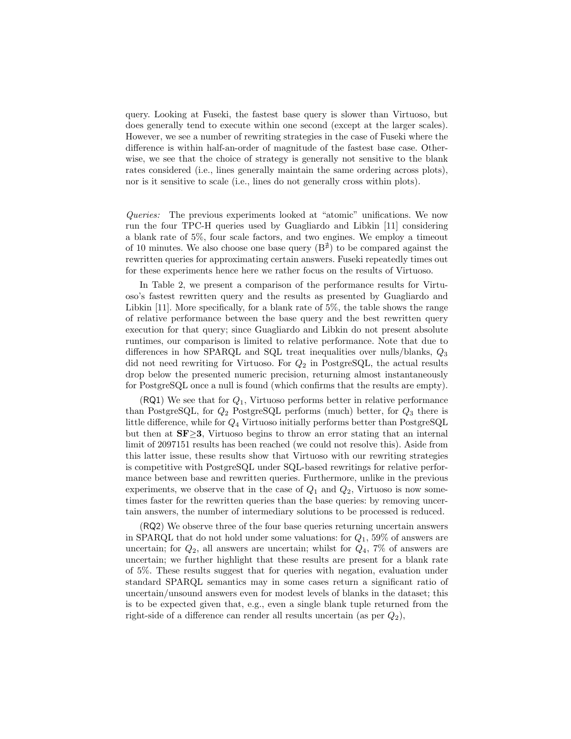query. Looking at Fuseki, the fastest base query is slower than Virtuoso, but does generally tend to execute within one second (except at the larger scales). However, we see a number of rewriting strategies in the case of Fuseki where the difference is within half-an-order of magnitude of the fastest base case. Otherwise, we see that the choice of strategy is generally not sensitive to the blank rates considered (i.e., lines generally maintain the same ordering across plots), nor is it sensitive to scale (i.e., lines do not generally cross within plots).

Queries: The previous experiments looked at "atomic" unifications. We now run the four TPC-H queries used by Guagliardo and Libkin [\[11\]](#page-15-2) considering a blank rate of 5%, four scale factors, and two engines. We employ a timeout of 10 minutes. We also choose one base query  $(B^{\#})$  to be compared against the rewritten queries for approximating certain answers. Fuseki repeatedly times out for these experiments hence here we rather focus on the results of Virtuoso.

In Table [2,](#page-13-0) we present a comparison of the performance results for Virtuoso's fastest rewritten query and the results as presented by Guagliardo and Libkin [\[11\]](#page-15-2). More specifically, for a blank rate of 5%, the table shows the range of relative performance between the base query and the best rewritten query execution for that query; since Guagliardo and Libkin do not present absolute runtimes, our comparison is limited to relative performance. Note that due to differences in how SPARQL and SQL treat inequalities over nulls/blanks,  $Q_3$ did not need rewriting for Virtuoso. For  $Q_2$  in PostgreSQL, the actual results drop below the presented numeric precision, returning almost instantaneously for PostgreSQL once a null is found (which confirms that the results are empty).

 $(RQ1)$  We see that for  $Q_1$ , Virtuoso performs better in relative performance than PostgreSQL, for  $Q_2$  PostgreSQL performs (much) better, for  $Q_3$  there is little difference, while for  $Q_4$  Virtuoso initially performs better than PostgreSQL but then at  $SF \geq 3$ , Virtuoso begins to throw an error stating that an internal limit of 2097151 results has been reached (we could not resolve this). Aside from this latter issue, these results show that Virtuoso with our rewriting strategies is competitive with PostgreSQL under SQL-based rewritings for relative performance between base and rewritten queries. Furthermore, unlike in the previous experiments, we observe that in the case of  $Q_1$  and  $Q_2$ , Virtuoso is now sometimes faster for the rewritten queries than the base queries: by removing uncertain answers, the number of intermediary solutions to be processed is reduced.

(RQ2) We observe three of the four base queries returning uncertain answers in SPARQL that do not hold under some valuations: for  $Q_1$ , 59% of answers are uncertain; for  $Q_2$ , all answers are uncertain; whilst for  $Q_4$ , 7% of answers are uncertain; we further highlight that these results are present for a blank rate of 5%. These results suggest that for queries with negation, evaluation under standard SPARQL semantics may in some cases return a significant ratio of uncertain/unsound answers even for modest levels of blanks in the dataset; this is to be expected given that, e.g., even a single blank tuple returned from the right-side of a difference can render all results uncertain (as per  $Q_2$ ),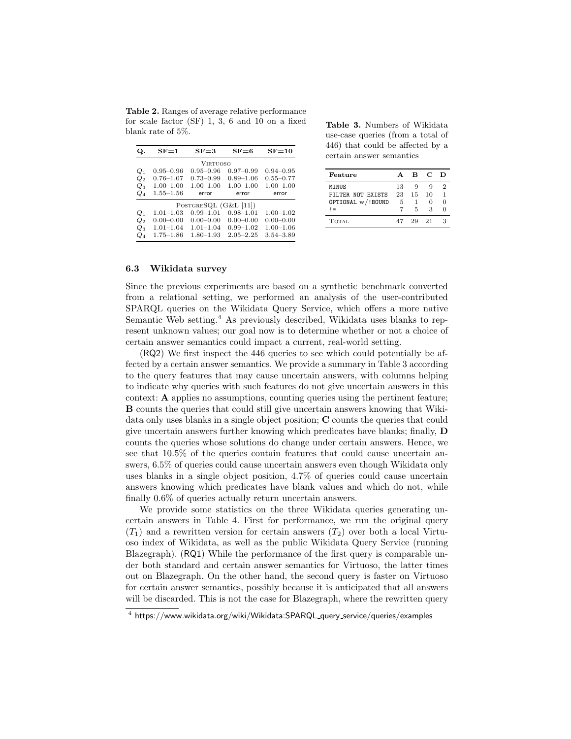<span id="page-13-0"></span>Table 2. Ranges of average relative performance for scale factor (SF) 1, 3, 6 and 10 on a fixed blank rate of 5%.

| Q.                 | $SF = 1$      | $SF = 3$                | $SF = 6$      | $SF = 10$     |
|--------------------|---------------|-------------------------|---------------|---------------|
|                    |               | <b>VIRTUOSO</b>         |               |               |
| $Q_1$              | $0.95 - 0.96$ | $0.95 - 0.96$           | $0.97 - 0.99$ | $0.94 - 0.95$ |
| $Q_2$              | $0.76 - 1.07$ | $0.73 - 0.99$           | $0.89 - 1.06$ | $0.55 - 0.77$ |
| $Q_3$              | $1.00 - 1.00$ | $1.00 - 1.00$           | $1.00 - 1.00$ | $1.00 - 1.00$ |
| $Q_4$              | $1.55 - 1.56$ | error                   | error         | error         |
|                    |               | POSTGRESQL $(G&L [11])$ |               |               |
| $Q_1$              | $1.01 - 1.03$ | $0.99 - 1.01$           | $0.98 - 1.01$ | $1.00 - 1.02$ |
| $\scriptstyle Q_2$ | $0.00 - 0.00$ | $0.00 - 0.00$           | $0.00 - 0.00$ | $0.00 - 0.00$ |
| $Q_3$              | $1.01 - 1.04$ | $1.01 - 1.04$           | $0.99 - 1.02$ | $1.00 - 1.06$ |
| Q4                 | $1.75 - 1.86$ | $1.80 - 1.93$           | $2.05 - 2.25$ | $3.54 - 3.89$ |

<span id="page-13-2"></span>Table 3. Numbers of Wikidata use-case queries (from a total of 446) that could be affected by a certain answer semantics

| Feature           | $\Delta$ | B. | - C | D |
|-------------------|----------|----|-----|---|
| MINUS             | 13       | g  | 9   | 2 |
| FILTER NOT EXISTS | 23       | 15 | 10  | 1 |
| OPTIONAL w/!BOUND | 5        | 1  | 0   | O |
| $=$               |          | 5  | 3   |   |
| <b>TOTAL</b>      | 47       | 29 | -21 | З |

### 6.3 Wikidata survey

Since the previous experiments are based on a synthetic benchmark converted from a relational setting, we performed an analysis of the user-contributed SPARQL queries on the Wikidata Query Service, which offers a more native Semantic Web setting.<sup>[4](#page-13-1)</sup> As previously described, Wikidata uses blanks to represent unknown values; our goal now is to determine whether or not a choice of certain answer semantics could impact a current, real-world setting.

(RQ2) We first inspect the 446 queries to see which could potentially be affected by a certain answer semantics. We provide a summary in Table [3](#page-13-2) according to the query features that may cause uncertain answers, with columns helping to indicate why queries with such features do not give uncertain answers in this context: A applies no assumptions, counting queries using the pertinent feature; B counts the queries that could still give uncertain answers knowing that Wikidata only uses blanks in a single object position; C counts the queries that could give uncertain answers further knowing which predicates have blanks; finally, D counts the queries whose solutions do change under certain answers. Hence, we see that 10.5% of the queries contain features that could cause uncertain answers, 6.5% of queries could cause uncertain answers even though Wikidata only uses blanks in a single object position, 4.7% of queries could cause uncertain answers knowing which predicates have blank values and which do not, while finally 0.6% of queries actually return uncertain answers.

We provide some statistics on the three Wikidata queries generating uncertain answers in Table [4.](#page-14-0) First for performance, we run the original query  $(T_1)$  and a rewritten version for certain answers  $(T_2)$  over both a local Virtuoso index of Wikidata, as well as the public Wikidata Query Service (running Blazegraph). (RQ1) While the performance of the first query is comparable under both standard and certain answer semantics for Virtuoso, the latter times out on Blazegraph. On the other hand, the second query is faster on Virtuoso for certain answer semantics, possibly because it is anticipated that all answers will be discarded. This is not the case for Blazegraph, where the rewritten query

<span id="page-13-1"></span> $^4$  [https://www.wikidata.org/wiki/Wikidata:SPARQL](https://www.wikidata.org/wiki/Wikidata:SPARQL_query_service/queries/examples)\_query\_service/queries/examples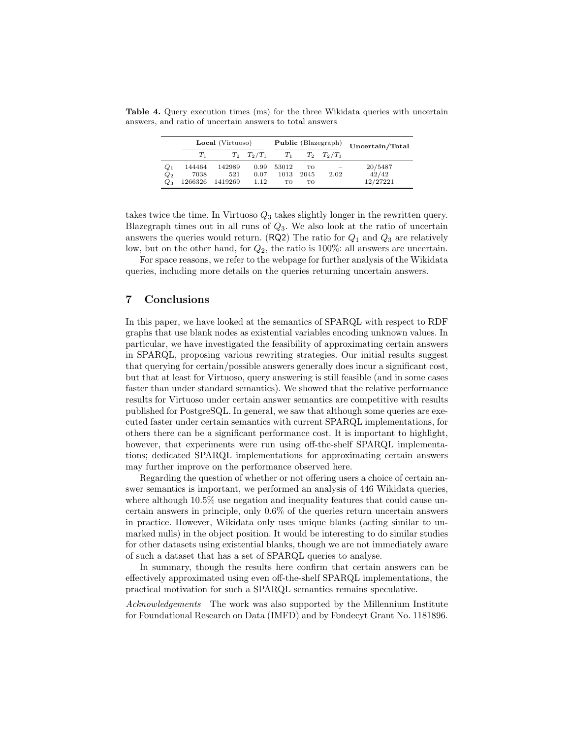Table 4. Query execution times (ms) for the three Wikidata queries with uncertain answers, and ratio of uncertain answers to total answers

<span id="page-14-0"></span>

|       | Local (Virtuoso) |         |                 | Public (Blazegraph) |      |                 | Uncertain/Total |
|-------|------------------|---------|-----------------|---------------------|------|-----------------|-----------------|
|       | $T_{1}$          |         | $T_2$ $T_2/T_1$ | $T_1$               |      | $T_2$ $T_2/T_1$ |                 |
| $Q_1$ | 144464           | 142989  | 0.99            | 53012               | TO   |                 | 20/5487         |
| $Q_2$ | 7038             | 521     | 0.07            | 1013                | 2045 | 2.02            | 42/42           |
| $Q_3$ | 1266326          | 1419269 | 1.12            | TO                  | TO   | <b>Service</b>  | 12/27221        |

takes twice the time. In Virtuoso  $Q_3$  takes slightly longer in the rewritten query. Blazegraph times out in all runs of  $Q_3$ . We also look at the ratio of uncertain answers the queries would return. (RQ2) The ratio for  $Q_1$  and  $Q_3$  are relatively low, but on the other hand, for  $Q_2$ , the ratio is 100%: all answers are uncertain.

For space reasons, we refer to the webpage for further analysis of the Wikidata queries, including more details on the queries returning uncertain answers.

# 7 Conclusions

In this paper, we have looked at the semantics of SPARQL with respect to RDF graphs that use blank nodes as existential variables encoding unknown values. In particular, we have investigated the feasibility of approximating certain answers in SPARQL, proposing various rewriting strategies. Our initial results suggest that querying for certain/possible answers generally does incur a significant cost, but that at least for Virtuoso, query answering is still feasible (and in some cases faster than under standard semantics). We showed that the relative performance results for Virtuoso under certain answer semantics are competitive with results published for PostgreSQL. In general, we saw that although some queries are executed faster under certain semantics with current SPARQL implementations, for others there can be a significant performance cost. It is important to highlight, however, that experiments were run using off-the-shelf SPARQL implementations; dedicated SPARQL implementations for approximating certain answers may further improve on the performance observed here.

Regarding the question of whether or not offering users a choice of certain answer semantics is important, we performed an analysis of 446 Wikidata queries, where although 10.5% use negation and inequality features that could cause uncertain answers in principle, only 0.6% of the queries return uncertain answers in practice. However, Wikidata only uses unique blanks (acting similar to unmarked nulls) in the object position. It would be interesting to do similar studies for other datasets using existential blanks, though we are not immediately aware of such a dataset that has a set of SPARQL queries to analyse.

In summary, though the results here confirm that certain answers can be effectively approximated using even off-the-shelf SPARQL implementations, the practical motivation for such a SPARQL semantics remains speculative.

Acknowledgements The work was also supported by the Millennium Institute for Foundational Research on Data (IMFD) and by Fondecyt Grant No. 1181896.